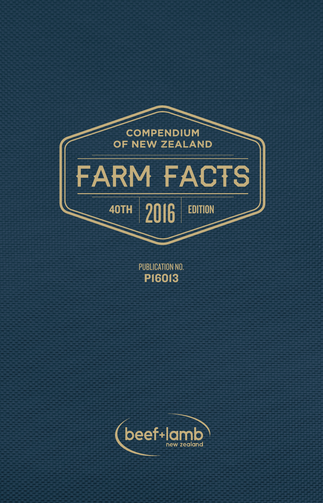

PUBLICATION NO. P16013

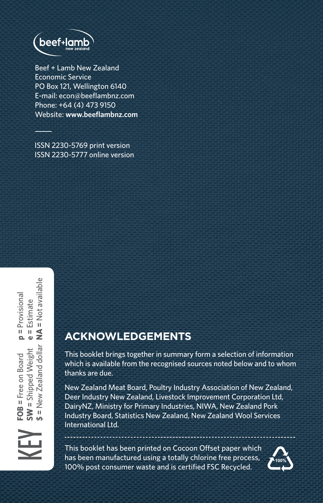

Beef + Lamb New Zealand Economic Service PO Box 121, Wellington 6140 E-mail: econ@beeflambnz.com Phone: +64 (4) 473 9150 Website: **www.beeflambnz.com**

ISSN 2230-5769 print version ISSN 2230-5777 online version

# **ACKNOWLEDGEMENTS**

This booklet brings together in summary form a selection of information which is available from the recognised sources noted below and to whom thanks are due.

New Zealand Meat Board, Poultry Industry Association of New Zealand, Deer Industry New Zealand, Livestock Improvement Corporation Ltd, DairyNZ, Ministry for Primary Industries, NIWA, New Zealand Pork Industry Board, Statistics New Zealand, New Zealand Wool Services International Ltd.

This booklet has been printed on Cocoon Offset paper which has been manufactured using a totally chlorine free process, 100% post consumer waste and is certified FSC Recycled.

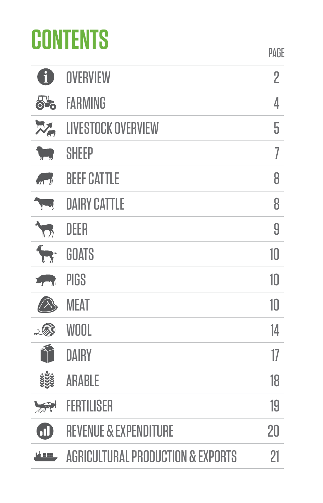# **CONTENTS**

| Đ                      | OVERVIEW                                     | $\overline{2}$ |
|------------------------|----------------------------------------------|----------------|
| 55                     | <b>FARMING</b>                               | 4              |
| $\mathbb{Z}_{p}$       | <b>LIVESTOCK OVERVIEW</b>                    | 5              |
| w                      | <b>SHEEP</b>                                 | 7              |
| $\sqrt{1-\frac{1}{2}}$ | <b>BEEF CATTLE</b>                           | 8              |
| $\overline{y}$         | <b>DAIRY CATTLE</b>                          | 8              |
| D                      | DEER                                         | 9              |
| $\blacktriangledown$   | <b>GOATS</b>                                 | 10             |
| $\sqrt{2}$             | PIGS                                         | 10             |
| $\triangle$            | <b>MEAT</b>                                  | 10             |
| . W                    | WOOL                                         | 14             |
| $\curvearrowleft$      | DAIRY                                        | 17             |
| X                      | ARABLE                                       | 18             |
| $\blacktriangleright$  | <b>FERTILISER</b>                            | 19             |
| $\bf \Xi$              | <b>REVENUE &amp; EXPENDITURE</b>             | 20             |
| 地理                     | <b>AGRICULTURAL PRODUCTION &amp; EXPORTS</b> | 21             |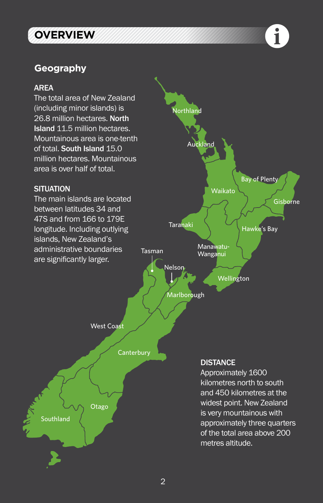# **OVERVIEW**

#### **Geography**

#### AREA

The total area of New Zealand (including minor islands) is 26.8 million hectares. North Island 11.5 million hectares. Mountainous area is one-tenth of total. South Island 15.0 million hectares. Mountainous area is over half of total.

#### **SITUATION**

The main islands are located between latitudes 34 and 47S and from 166 to 179E longitude. Including outlying islands, New Zealand's administrative boundaries are significantly larger.



 $\mathbf i$ 



#### **DISTANCE**

Approximately 1600 kilometres north to south and 450 kilometres at the widest point. New Zealand is very mountainous with approximately three quarters of the total area above 200 metres altitude.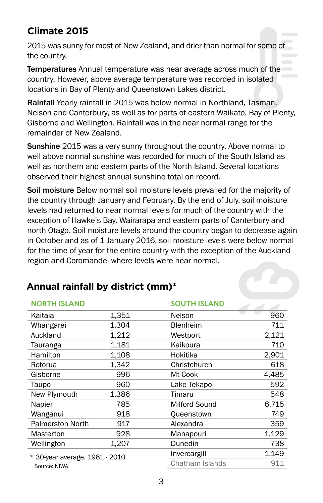# **Climate 2015**

2015 was sunny for most of New Zealand, and drier than normal for some of the country.

Temperatures Annual temperature was near average across much of the country. However, above average temperature was recorded in isolated locations in Bay of Plenty and Queenstown Lakes district.

Rainfall Yearly rainfall in 2015 was below normal in Northland, Tasman, Nelson and Canterbury, as well as for parts of eastern Waikato, Bay of Plenty, Gisborne and Wellington. Rainfall was in the near normal range for the remainder of New Zealand.

Sunshine 2015 was a very sunny throughout the country. Above normal to well above normal sunshine was recorded for much of the South Island as well as northern and eastern parts of the North Island. Several locations observed their highest annual sunshine total on record.

Soil moisture Below normal soil moisture levels prevailed for the majority of the country through January and February. By the end of July, soil moisture levels had returned to near normal levels for much of the country with the exception of Hawke's Bay, Wairarapa and eastern parts of Canterbury and north Otago. Soil moisture levels around the country began to decrease again in October and as of 1 January 2016, soil moisture levels were below normal for the time of year for the entire country with the exception of the Auckland region and Coromandel where levels were near normal.

| <b>NORTH ISLAND</b>            |       | <b>SOUTH ISLAND</b> |       |
|--------------------------------|-------|---------------------|-------|
| Kaitaia                        | 1.351 | Nelson              | 960   |
| Whangarei                      | 1.304 | Blenheim            | 711   |
| Auckland                       | 1.212 | Westport            | 2,121 |
| Tauranga                       | 1.181 | Kaikoura            | 710   |
| Hamilton                       | 1.108 | Hokitika            | 2,901 |
| Rotorua                        | 1.342 | Christchurch        | 618   |
| Gisborne                       | 996   | Mt Cook             | 4.485 |
| Taupo                          | 960   | Lake Tekapo         | 592   |
| New Plymouth                   | 1,386 | Timaru              | 548   |
| Napier                         | 785   | Milford Sound       | 6.715 |
| Wanganui                       | 918   | Queenstown          | 749   |
| <b>Palmerston North</b>        | 917   | Alexandra           | 359   |
| Masterton                      | 928   | Manapouri           | 1.129 |
| Wellington                     | 1.207 | Dunedin             | 738   |
| * 30-year average, 1981 - 2010 |       | Invercargill        | 1.149 |
| Source: NIWA                   |       | Chatham Islands     | 911   |

# **Annual rainfall by district (mm)\***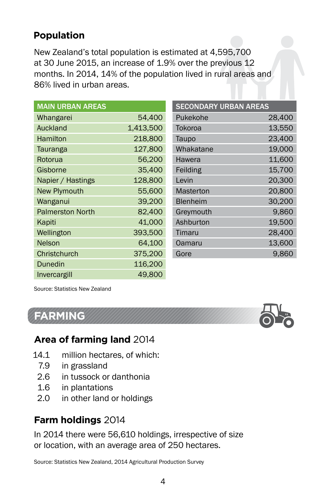# **Population**

New Zealand's total population is estimated at 4,595,700 at 30 June 2015, an increase of 1.9% over the previous 12 months. In 2014, 14% of the population lived in rural areas and 86% lived in urban areas.

| <b>MAIN URBAN AREAS</b> |           |
|-------------------------|-----------|
| Whangarei               | 54.400    |
| Auckland                | 1,413,500 |
| Hamilton                | 218,800   |
| Tauranga                | 127.800   |
| Rotorua                 | 56,200    |
| Gisborne                | 35,400    |
| Napier / Hastings       | 128,800   |
| <b>New Plymouth</b>     | 55.600    |
| Wanganui                | 39.200    |
| <b>Palmerston North</b> | 82,400    |
| Kapiti                  | 41.000    |
| Wellington              | 393,500   |
| Nelson                  | 64.100    |
| Christchurch            | 375,200   |
| Dunedin                 | 116,200   |
| Invercargill            | 49.800    |

| <b>SECONDARY URBAN AREAS</b> |        |
|------------------------------|--------|
| Pukekohe                     | 28,400 |
| Tokoroa                      | 13.550 |
| Taupo                        | 23.400 |
| Whakatane                    | 19.000 |
| Hawera                       | 11.600 |
| Feilding                     | 15.700 |
| Levin                        | 20,300 |
| Masterton                    | 20,800 |
| Blenheim                     | 30.200 |
| Greymouth                    | 9,860  |
| Ashburton                    | 19.500 |
| Timaru                       | 28,400 |
| Oamaru                       | 13.600 |
| Gore                         | 9.860  |

Source: Statistics New Zealand

# **FARMING**



# **Area of farming land** 2014

- 14.1 million hectares, of which:
	- 7.9 in grassland
	- 2.6 in tussock or danthonia
	- 1.6 in plantations
	- 2.0 in other land or holdings

#### **Farm holdings** 2014

In 2014 there were 56,610 holdings, irrespective of size or location, with an average area of 250 hectares.

Source: Statistics New Zealand, 2014 Agricultural Production Survey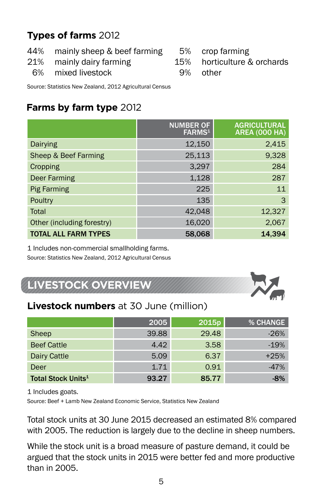# **Types of farms** 2012

- 44% mainly sheep & beef farming<br>21% mainly dairy farming
- mainly dairy farming
- 5% crop farming<br>15% horticulture &
	- 15% horticulture & orchards other
- 6% mixed livestock

Source: Statistics New Zealand, 2012 Agricultural Census

# **Farms by farm type** 2012

|                             | <b>NUMBER OF</b><br>FARMS <sup>1</sup> | <b>AGRICULTURAL</b><br><b>AREA (000 HA)</b> |
|-----------------------------|----------------------------------------|---------------------------------------------|
| Dairying                    | 12,150                                 | 2,415                                       |
| Sheep & Beef Farming        | 25,113                                 | 9,328                                       |
| Cropping                    | 3.297                                  | 284                                         |
| <b>Deer Farming</b>         | 1,128                                  | 287                                         |
| <b>Pig Farming</b>          | 225                                    | 11                                          |
| Poultry                     | 135                                    | 3                                           |
| Total                       | 42,048                                 | 12,327                                      |
| Other (including forestry)  | 16,020                                 | 2,067                                       |
| <b>TOTAL ALL FARM TYPES</b> | 58.068                                 | 14.394                                      |

1 Includes non-commercial smallholding farms.

Source: Statistics New Zealand, 2012 Agricultural Census

# **LIVESTOCK OVERVIEW**



|                                      | 2005  | 2015p | % CHANGE |
|--------------------------------------|-------|-------|----------|
| Sheep                                | 39.88 | 29.48 | $-26%$   |
| <b>Beef Cattle</b>                   | 4.42  | 3.58  | $-19%$   |
| Dairy Cattle                         | 5.09  | 6.37  | $+25%$   |
| Deer                                 | 1.71  | 0.91  | $-47%$   |
| <b>Total Stock Units<sup>1</sup></b> | 93.27 | 85.77 | $-8%$    |

1 Includes goats.

Source: Beef + Lamb New Zealand Economic Service, Statistics New Zealand

Total stock units at 30 June 2015 decreased an estimated 8% compared with 2005. The reduction is largely due to the decline in sheep numbers.

While the stock unit is a broad measure of pasture demand, it could be argued that the stock units in 2015 were better fed and more productive than in 2005.

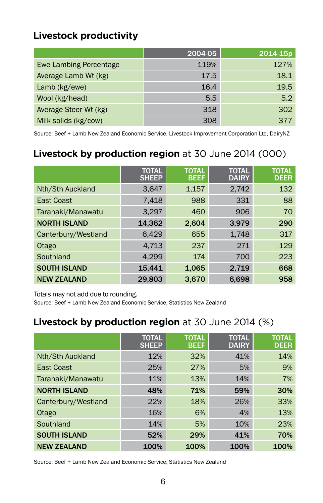# **Livestock productivity**

|                        | 2004-05 | 2014-15p |
|------------------------|---------|----------|
| Ewe Lambing Percentage | 119%    | 127%     |
| Average Lamb Wt (kg)   | 17.5    | 18.1     |
| Lamb (kg/ewe)          | 16.4    | 19.5     |
| Wool (kg/head)         | 5.5     | 5.2      |
| Average Steer Wt (kg)  | 318     | 302      |
| Milk solids (kg/cow)   | 308     | 377      |

Source: Beef + Lamb New Zealand Economic Service, Livestock Improvement Corporation Ltd, DairyNZ

# **Livestock by production region** at 30 June 2014 (000)

|                     | <b>TOTAL</b><br><b>SHEEP</b> | <b>TOTAL</b><br><b>BEEF</b> | <b>TOTAL</b><br><b>DAIRY</b> | <b>TOTAL</b><br><b>DEER</b> |
|---------------------|------------------------------|-----------------------------|------------------------------|-----------------------------|
| Nth/Sth Auckland    | 3,647                        | 1,157                       | 2,742                        | 132                         |
| <b>East Coast</b>   | 7,418                        | 988                         | 331                          | 88                          |
| Taranaki/Manawatu   | 3,297                        | 460                         | 906                          | 70                          |
| <b>NORTH ISLAND</b> | 14,362                       | 2,604                       | 3.979                        | 290                         |
| Canterbury/Westland | 6.429                        | 655                         | 1.748                        | 317                         |
| Otago               | 4,713                        | 237                         | 271                          | 129                         |
| Southland           | 4.299                        | 174                         | 700                          | 223                         |
| <b>SOUTH ISLAND</b> | 15.441                       | 1,065                       | 2,719                        | 668                         |
| <b>NEW ZEALAND</b>  | 29.803                       | 3.670                       | 6.698                        | 958                         |

Totals may not add due to rounding.

Source: Beef + Lamb New Zealand Economic Service, Statistics New Zealand

# **Livestock by production region** at 30 June 2014 (%)

|                     | <b>TOTAL</b><br><b>SHEEP</b> | <b>TOTAL</b><br><b>BEEF</b> | <b>TOTAL</b><br><b>DAIRY</b> | <b>TOTAL</b><br><b>DEER</b> |
|---------------------|------------------------------|-----------------------------|------------------------------|-----------------------------|
| Nth/Sth Auckland    | 12%                          | 32%                         | 41%                          | 14%                         |
| <b>East Coast</b>   | 25%                          | 27%                         | 5%                           | 9%                          |
| Taranaki/Manawatu   | 11%                          | 13%                         | 14%                          | 7%                          |
| <b>NORTH ISLAND</b> | 48%                          | 71%                         | 59%                          | 30%                         |
| Canterbury/Westland | 22%                          | 18%                         | 26%                          | 33%                         |
| Otago               | 16%                          | 6%                          | 4%                           | 13%                         |
| Southland           | 14%                          | 5%                          | 10%                          | 23%                         |
| <b>SOUTH ISLAND</b> | 52%                          | 29%                         | 41%                          | 70%                         |
| <b>NEW ZEALAND</b>  | 100%                         | 100%                        | 100%                         | 100%                        |

Source: Beef + Lamb New Zealand Economic Service, Statistics New Zealand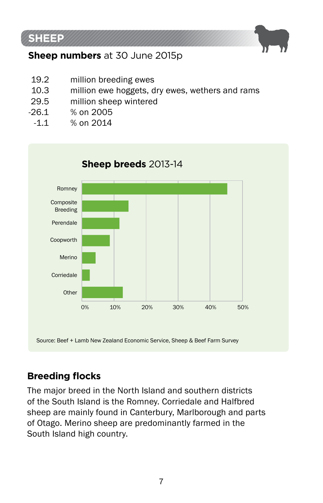



- 19.2 million breeding ewes<br>10.3 million ewe hoggets, d
- 10.3 million ewe hoggets, dry ewes, wethers and rams<br>29.5 million sheep wintered
- 29.5 million sheep wintered<br>-26.1 % on 2005
	- 26.1 % on 2005<br>-1.1 % on 2014
	- $%$  on 2014



# **Breeding flocks**

The major breed in the North Island and southern districts of the South Island is the Romney. Corriedale and Halfbred sheep are mainly found in Canterbury, Marlborough and parts of Otago. Merino sheep are predominantly farmed in the South Island high country.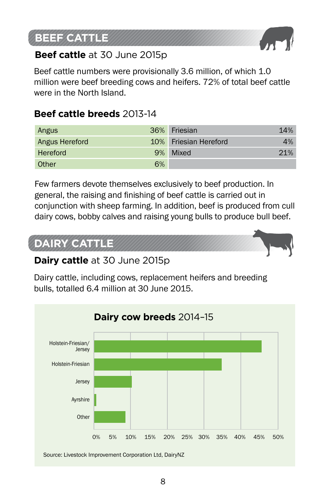# **BEEF CATTLE**



# **Beef cattle** at 30 June 2015p

Beef cattle numbers were provisionally 3.6 million, of which 1.0 million were beef breeding cows and heifers. 72% of total beef cattle were in the North Island.

# **Beef cattle breeds** 2013-14

| Angus          |    | 36% Friesian          | 14% |
|----------------|----|-----------------------|-----|
| Angus Hereford |    | 10% Friesian Hereford | 4%  |
| Hereford       |    | 9% Mixed              | 21% |
| Other          | 6% |                       |     |

Few farmers devote themselves exclusively to beef production. In general, the raising and finishing of beef cattle is carried out in conjunction with sheep farming. In addition, beef is produced from cull dairy cows, bobby calves and raising young bulls to produce bull beef.

# **DAIRY CATTLE**



# **Dairy cattle** at 30 June 2015p

Dairy cattle, including cows, replacement heifers and breeding bulls, totalled 6.4 million at 30 June 2015.

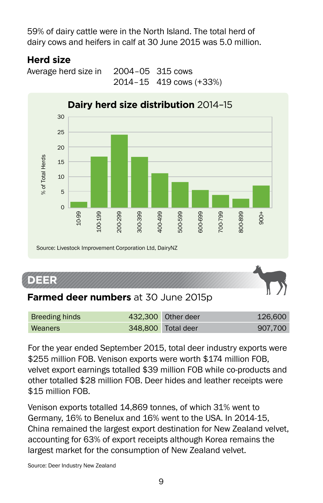59% of dairy cattle were in the North Island. The total herd of dairy cows and heifers in calf at 30 June 2015 was 5.0 million.

# **Herd size**

Average herd size in 2004–05 315 cows 2014–15 419 cows (+33%)



# **DEER**

| Breeding hinds | 432.300 Other deer | 126,600 |
|----------------|--------------------|---------|
| Weaners        | 348,800 Total deer | 907.700 |

For the year ended September 2015, total deer industry exports were \$255 million FOB. Venison exports were worth \$174 million FOB. velvet export earnings totalled \$39 million FOB while co-products and other totalled \$28 million FOB. Deer hides and leather receipts were \$15 million FOB.

Venison exports totalled 14,869 tonnes, of which 31% went to Germany, 16% to Benelux and 16% went to the USA. In 2014-15, China remained the largest export destination for New Zealand velvet, accounting for 63% of export receipts although Korea remains the largest market for the consumption of New Zealand velvet.

Source: Deer Industry New Zealand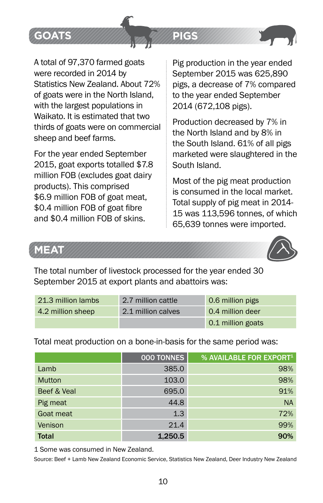

A total of 97,370 farmed goats were recorded in 2014 by Statistics New Zealand. About 72% of goats were in the North Island, with the largest populations in Waikato. It is estimated that two thirds of goats were on commercial sheep and beef farms.

For the year ended September 2015, goat exports totalled \$7.8 million FOB (excludes goat dairy products). This comprised \$6.9 million FOB of goat meat, \$0.4 million FOB of goat fibre and \$0.4 million FOB of skins.

Pig production in the year ended September 2015 was 625,890 pigs, a decrease of 7% compared to the year ended September 2014 (672,108 pigs).

**PIGS** 

Production decreased by 7% in the North Island and by 8% in the South Island. 61% of all pigs marketed were slaughtered in the South Island.

Most of the pig meat production is consumed in the local market. Total supply of pig meat in 2014- 15 was 113,596 tonnes, of which 65,639 tonnes were imported.

# **MEAT**



The total number of livestock processed for the year ended 30 September 2015 at export plants and abattoirs was:

| 21.3 million lambs | 2.7 million cattle | 0.6 million pigs  |
|--------------------|--------------------|-------------------|
| 4.2 million sheep  | 2.1 million calves | 0.4 million deer  |
|                    |                    | 0.1 million goats |

Total meat production on a bone-in-basis for the same period was:

|              | 000 TONNES | % AVAILABLE FOR EXPORT1 |
|--------------|------------|-------------------------|
| Lamb         | 385.0      | 98%                     |
| Mutton       | 103.0      | 98%                     |
| Beef & Veal  | 695.0      | 91%                     |
| Pig meat     | 44.8       | <b>NA</b>               |
| Goat meat    | 1.3        | 72%                     |
| Venison      | 21.4       | 99%                     |
| <b>Total</b> | 1.250.5    | 90%                     |

1 Some was consumed in New Zealand.

Source: Beef + Lamb New Zealand Economic Service, Statistics New Zealand, Deer Industry New Zealand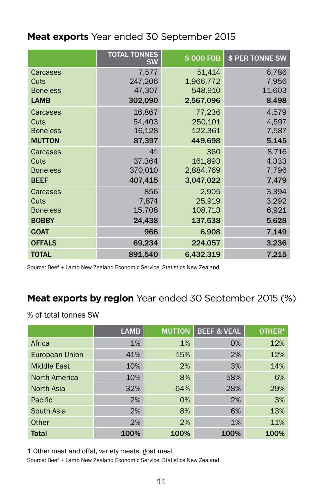# **Meat exports** Year ended 30 September 2015

|                 | <b>TOTAL TONNES</b><br><b>SW</b> | \$000 FOB | \$ PER TONNE SW |
|-----------------|----------------------------------|-----------|-----------------|
| Carcases        | 7,577                            | 51,414    | 6,786           |
| Cuts            | 247,206                          | 1.966.772 | 7.956           |
| <b>Boneless</b> | 47,307                           | 548.910   | 11,603          |
| <b>LAMB</b>     | 302,090                          | 2,567,096 | 8,498           |
| Carcases        | 16.867                           | 77.236    | 4.579           |
| Cuts            | 54.403                           | 250.101   | 4.597           |
| <b>Boneless</b> | 16,128                           | 122,361   | 7,587           |
| <b>MUTTON</b>   | 87,397                           | 449,698   | 5,145           |
| Carcases        | 41                               | 360       | 8.716           |
| Cuts            | 37.364                           | 161,893   | 4.333           |
| <b>Boneless</b> | 370,010                          | 2,884,769 | 7,796           |
| <b>BEEF</b>     | 407,415                          | 3,047,022 | 7,479           |
| Carcases        | 856                              | 2.905     | 3.394           |
| Cuts            | 7.874                            | 25.919    | 3,292           |
| <b>Boneless</b> | 15,708                           | 108,713   | 6,921           |
| <b>BOBBY</b>    | 24,438                           | 137,538   | 5,628           |
| <b>GOAT</b>     | 966                              | 6.908     | 7,149           |
| <b>OFFALS</b>   | 69,234                           | 224,057   | 3,236           |
| <b>TOTAL</b>    | 891.540                          | 6,432,319 | 7.215           |
|                 |                                  |           |                 |

Source: Beef + Lamb New Zealand Economic Service, Statistics New Zealand

#### **Meat exports by region** Year ended 30 September 2015 (%)

% of total tonnes SW

|                       | <b>LAMB</b> | <b>MUTTON</b> | <b>BEEF &amp; VEAL</b> | OTHER <sup>1</sup> |
|-----------------------|-------------|---------------|------------------------|--------------------|
| Africa                | 1%          | 1%            | 0%                     | 12%                |
| <b>European Union</b> | 41%         | 15%           | 2%                     | 12%                |
| <b>Middle East</b>    | 10%         | 2%            | 3%                     | 14%                |
| North America         | 10%         | 8%            | 58%                    | 6%                 |
| North Asia            | 32%         | 64%           | 28%                    | 29%                |
| Pacific               | 2%          | 0%            | 2%                     | 3%                 |
| South Asia            | 2%          | 8%            | 6%                     | 13%                |
| Other                 | 2%          | 2%            | 1%                     | 11%                |
| <b>Total</b>          | 100%        | 100%          | 100%                   | 100%               |

1 Other meat and offal, variety meats, goat meat.

Source: Beef + Lamb New Zealand Economic Service, Statistics New Zealand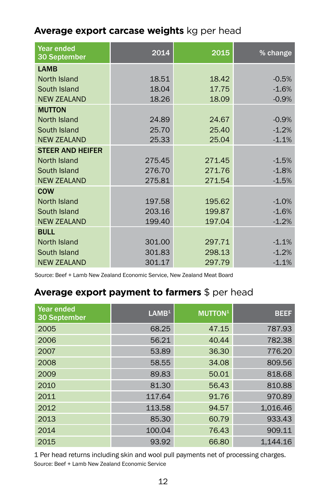# **Average export carcase weights** kg per head

| Year ended<br>30 September | 2014   | 2015   | % change |
|----------------------------|--------|--------|----------|
| <b>LAMB</b>                |        |        |          |
| North Island               | 18.51  | 18.42  | $-0.5%$  |
| South Island               | 18.04  | 17.75  | $-1.6%$  |
| <b>NEW ZEALAND</b>         | 18.26  | 18.09  | $-0.9%$  |
| <b>MUTTON</b>              |        |        |          |
| North Island               | 24.89  | 24.67  | $-0.9%$  |
| South Island               | 25.70  | 25.40  | $-1.2%$  |
| <b>NEW ZEALAND</b>         | 25.33  | 25.04  | $-1.1%$  |
| <b>STEER AND HEIFER</b>    |        |        |          |
| North Island               | 275.45 | 271.45 | $-1.5%$  |
| South Island               | 276.70 | 271.76 | $-1.8%$  |
| <b>NEW ZEALAND</b>         | 275.81 | 271.54 | $-1.5%$  |
| <b>COW</b>                 |        |        |          |
| North Island               | 197.58 | 195.62 | $-1.0%$  |
| South Island               | 203.16 | 199.87 | $-1.6%$  |
| <b>NEW ZEALAND</b>         | 199.40 | 197.04 | $-1.2%$  |
| <b>BULL</b>                |        |        |          |
| North Island               | 301.00 | 297.71 | $-1.1%$  |
| South Island               | 301.83 | 298.13 | $-1.2%$  |
| <b>NEW ZEALAND</b>         | 301.17 | 297.79 | $-1.1%$  |

Source: Beef + Lamb New Zealand Economic Service, New Zealand Meat Board

# **Average export payment to farmers** \$ per head

| <b>Year ended</b><br>30 September | $1$    | <b>MUTTON<sup>1</sup></b> | <b>BEEF</b> |
|-----------------------------------|--------|---------------------------|-------------|
| 2005                              | 68.25  | 47.15                     | 787.93      |
| 2006                              | 56.21  | 40.44                     | 782.38      |
| 2007                              | 53.89  | 36.30                     | 776.20      |
| 2008                              | 58.55  | 34.08                     | 809.56      |
| 2009                              | 89.83  | 50.01                     | 818.68      |
| 2010                              | 81.30  | 56.43                     | 810.88      |
| 2011                              | 117.64 | 91.76                     | 970.89      |
| 2012                              | 113.58 | 94.57                     | 1.016.46    |
| 2013                              | 85.30  | 60.79                     | 933.43      |
| 2014                              | 100.04 | 76.43                     | 909.11      |
| 2015                              | 93.92  | 66.80                     | 1.144.16    |

Source: Beef + Lamb New Zealand Economic Service 1 Per head returns including skin and wool pull payments net of processing charges.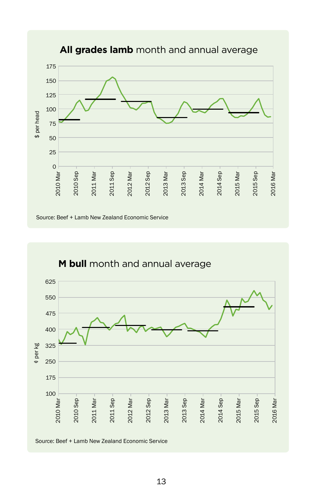



**All grades lamb** month and annual average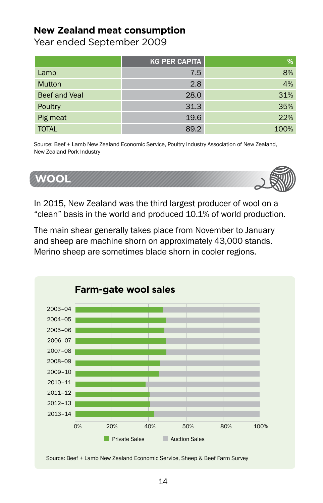#### **New Zealand meat consumption**

Year ended September 2009

|               | <b>KG PER CAPITA</b> | %    |
|---------------|----------------------|------|
| Lamb          | 7.5                  | 8%   |
| <b>Mutton</b> | 2.8                  | 4%   |
| Beef and Veal | 28.0                 | 31%  |
| Poultry       | 31.3                 | 35%  |
| Pig meat      | 19.6                 | 22%  |
| <b>TOTAL</b>  | 89.2                 | 100% |

Source: Beef + Lamb New Zealand Economic Service, Poultry Industry Association of New Zealand, New Zealand Pork Industry



In 2015, New Zealand was the third largest producer of wool on a "clean" basis in the world and produced 10.1% of world production.

The main shear generally takes place from November to January and sheep are machine shorn on approximately 43,000 stands. Merino sheep are sometimes blade shorn in cooler regions.



Source: Beef + Lamb New Zealand Economic Service, Sheep & Beef Farm Survey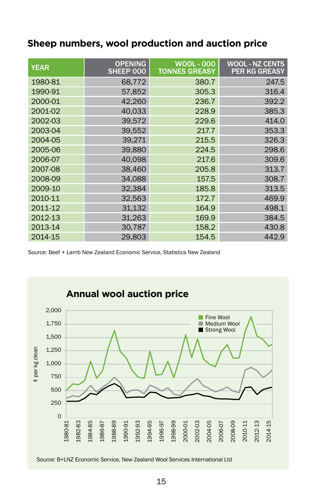| <b>YEAR</b> | <b>OPENING</b><br>SHEEP 000 | <b>WOOL - 000</b><br><b>TONNES GREASY</b> | <b>WOOL - NZ CENTS</b><br><b>PER KG GREASY</b> |
|-------------|-----------------------------|-------------------------------------------|------------------------------------------------|
| 1980-81     | 68.772                      | 380.7                                     | 247.5                                          |
| 1990-91     | 57.852                      | 305.3                                     | 316.4                                          |
| 2000-01     | 42.260                      | 236.7                                     | 392.2                                          |
| 2001-02     | 40.033                      | 228.9                                     | 385.3                                          |
| 2002-03     | 39.572                      | 229.6                                     | 414.0                                          |
| 2003-04     | 39,552                      | 217.7                                     | 353.3                                          |
| 2004-05     | 39.271                      | 215.5                                     | 326.3                                          |
| 2005-06     | 39.880                      | 224.5                                     | 298.6                                          |
| 2006-07     | 40.098                      | 217.6                                     | 309.6                                          |
| 2007-08     | 38.460                      | 205.8                                     | 313.7                                          |
| 2008-09     | 34.088                      | 157.5                                     | 308.7                                          |
| 2009-10     | 32.384                      | 185.8                                     | 313.5                                          |
| 2010-11     | 32,563                      | 172.7                                     | 469.9                                          |
| 2011-12     | 31.132                      | 164.9                                     | 498.1                                          |
| 2012-13     | 31.263                      | 169.9                                     | 384.5                                          |
| 2013-14     | 30,787                      | 158.2                                     | 430.8                                          |
| 2014-15     | 29.803                      | 154.5                                     | 442.9                                          |

#### **Sheep numbers, wool production and auction price**

Source: Beef + Lamb New Zealand Economic Service, Statistics New Zealand

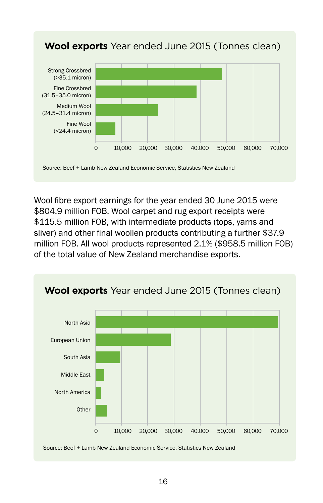

Wool fibre export earnings for the year ended 30 June 2015 were \$804.9 million FOB. Wool carpet and rug export receipts were \$115.5 million FOB, with intermediate products (tops, varns and sliver) and other final woollen products contributing a further \$37.9 million FOB. All wool products represented 2.1% (\$958.5 million FOB) of the total value of New Zealand merchandise exports.

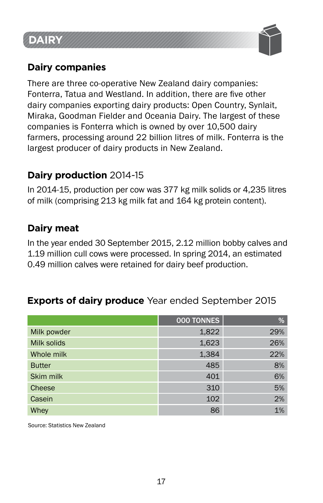# **DAIRY**



# **Dairy companies**

There are three co-operative New Zealand dairy companies: Fonterra, Tatua and Westland. In addition, there are five other dairy companies exporting dairy products: Open Country, Synlait, Miraka, Goodman Fielder and Oceania Dairy. The largest of these companies is Fonterra which is owned by over 10,500 dairy farmers, processing around 22 billion litres of milk. Fonterra is the largest producer of dairy products in New Zealand.

# **Dairy production** 2014-15

In 2014-15, production per cow was 377 kg milk solids or 4,235 litres of milk (comprising 213 kg milk fat and 164 kg protein content).

# **Dairy meat**

In the year ended 30 September 2015, 2.12 million bobby calves and 1.19 million cull cows were processed. In spring 2014, an estimated 0.49 million calves were retained for dairy beef production.

# **Exports of dairy produce** Year ended September 2015

|               | 000 TONNES | %   |
|---------------|------------|-----|
| Milk powder   | 1,822      | 29% |
| Milk solids   | 1,623      | 26% |
| Whole milk    | 1,384      | 22% |
| <b>Butter</b> | 485        | 8%  |
| Skim milk     | 401        | 6%  |
| Cheese        | 310        | 5%  |
| Casein        | 102        | 2%  |
| Whey          | 86         | 1%  |

Source: Statistics New Zealand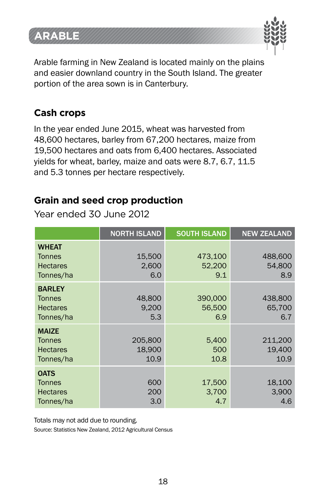# **ARABLE**



Arable farming in New Zealand is located mainly on the plains and easier downland country in the South Island. The greater portion of the area sown is in Canterbury.

# **Cash crops**

In the year ended June 2015, wheat was harvested from 48,600 hectares, barley from 67,200 hectares, maize from 19,500 hectares and oats from 6,400 hectares. Associated yields for wheat, barley, maize and oats were 8.7, 6.7, 11.5 and 5.3 tonnes per hectare respectively.

#### **Grain and seed crop production**

Year ended 30 June 2012

|                                                                | <b>NORTH ISLAND</b>       | <b>SOUTH ISLAND</b>      | <b>NEW ZEALAND</b>        |
|----------------------------------------------------------------|---------------------------|--------------------------|---------------------------|
| <b>WHEAT</b><br><b>Tonnes</b><br><b>Hectares</b><br>Tonnes/ha  | 15,500<br>2.600<br>6.0    | 473,100<br>52.200<br>9.1 | 488,600<br>54,800<br>8.9  |
| <b>BARLEY</b><br><b>Tonnes</b><br><b>Hectares</b><br>Tonnes/ha | 48,800<br>9.200<br>5.3    | 390,000<br>56,500<br>6.9 | 438,800<br>65.700<br>6.7  |
| <b>MAIZE</b><br><b>Tonnes</b><br><b>Hectares</b><br>Tonnes/ha  | 205,800<br>18,900<br>10.9 | 5,400<br>500<br>10.8     | 211,200<br>19,400<br>10.9 |
| <b>OATS</b><br><b>Tonnes</b><br><b>Hectares</b><br>Tonnes/ha   | 600<br>200<br>3.0         | 17.500<br>3,700<br>4.7   | 18,100<br>3,900<br>4.6    |

Totals may not add due to rounding.

Source: Statistics New Zealand, 2012 Agricultural Census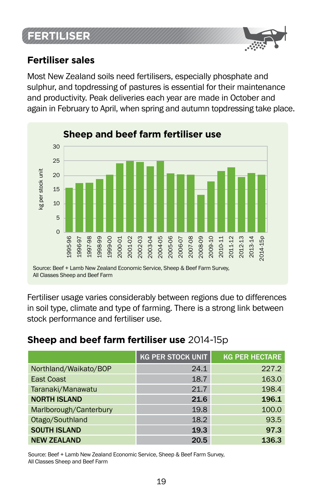# **FERTILISER**



#### **Fertiliser sales**

Most New Zealand soils need fertilisers, especially phosphate and sulphur, and topdressing of pastures is essential for their maintenance and productivity. Peak deliveries each year are made in October and again in February to April, when spring and autumn topdressing take place.



Fertiliser usage varies considerably between regions due to differences in soil type, climate and type of farming. There is a strong link between stock performance and fertiliser use.

#### **Sheep and beef farm fertiliser use** 2014-15p

|                        | <b>KG PER STOCK UNIT</b> | <b>KG PER HECTARE</b> |
|------------------------|--------------------------|-----------------------|
| Northland/Waikato/BOP  | 24.1                     | 227.2                 |
| <b>East Coast</b>      | 18.7                     | 163.0                 |
| Taranaki/Manawatu      | 21.7                     | 198.4                 |
| <b>NORTH ISLAND</b>    | 21.6                     | 196.1                 |
| Marlborough/Canterbury | 19.8                     | 100.0                 |
| Otago/Southland        | 18.2                     | 93.5                  |
| <b>SOUTH ISLAND</b>    | 19.3                     | 97.3                  |
| <b>NEW ZEALAND</b>     | 20.5                     | 136.3                 |

Source: Beef + Lamb New Zealand Economic Service, Sheep & Beef Farm Survey, All Classes Sheep and Beef Farm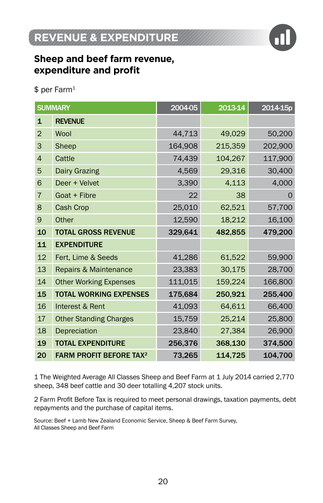

# **Sheep and beef farm revenue, expenditure and profit**

\$ per Farm1

|                | <b>SUMMARY</b>                            | 2004-05 | 2013-14 | 2014-15p |
|----------------|-------------------------------------------|---------|---------|----------|
| $\mathbf{1}$   | <b>REVENUE</b>                            |         |         |          |
| $\overline{2}$ | <b>Wool</b>                               | 44,713  | 49,029  | 50,200   |
| 3              | Sheep                                     | 164,908 | 215,359 | 202,900  |
| $\overline{4}$ | Cattle                                    | 74,439  | 104,267 | 117,900  |
| 5              | <b>Dairy Grazing</b>                      | 4,569   | 29,316  | 30,400   |
| 6              | Deer + Velvet                             | 3,390   | 4,113   | 4,000    |
| $\overline{7}$ | Goat + Fibre                              | 22      | 38      | $\Omega$ |
| 8              | Cash Crop                                 | 25,010  | 62,521  | 57,700   |
| 9              | Other                                     | 12,590  | 18,212  | 16,100   |
| 10             | <b>TOTAL GROSS REVENUE</b>                | 329,641 | 482,855 | 479,200  |
| 11             | <b>EXPENDITURE</b>                        |         |         |          |
| 12             | Fert, Lime & Seeds                        | 41,286  | 61,522  | 59,900   |
| 13             | Repairs & Maintenance                     | 23,383  | 30,175  | 28,700   |
| 14             | <b>Other Working Expenses</b>             | 111,015 | 159,224 | 166,800  |
| 15             | <b>TOTAL WORKING EXPENSES</b>             | 175,684 | 250,921 | 255,400  |
| 16             | Interest & Rent                           | 41,093  | 64,611  | 66,400   |
| 17             | <b>Other Standing Charges</b>             | 15,759  | 25,214  | 25,800   |
| 18             | Depreciation                              | 23,840  | 27,384  | 26,900   |
| 19             | <b>TOTAL EXPENDITURE</b>                  | 256,376 | 368,130 | 374,500  |
| 20             | <b>FARM PROFIT BEFORE TAX<sup>2</sup></b> | 73,265  | 114,725 | 104,700  |

1 The Weighted Average All Classes Sheep and Beef Farm at 1 July 2014 carried 2,770 sheep, 348 beef cattle and 30 deer totalling 4,207 stock units.

2 Farm Profit Before Tax is required to meet personal drawings, taxation payments, debt repayments and the purchase of capital items.

Source: Beef + Lamb New Zealand Economic Service, Sheep & Beef Farm Survey, All Classes Sheep and Beef Farm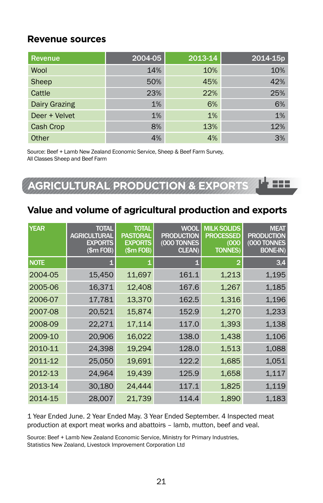#### **Revenue sources**

| Revenue              | 2004-05 | 2013-14 | 2014-15p |
|----------------------|---------|---------|----------|
| Wool                 | 14%     | 10%     | 10%      |
| Sheep                | 50%     | 45%     | 42%      |
| Cattle               | 23%     | 22%     | 25%      |
| <b>Dairy Grazing</b> | 1%      | 6%      | 6%       |
| Deer + Velvet        | 1%      | 1%      | 1%       |
| Cash Crop            | 8%      | 13%     | 12%      |
| Other                | 4%      | 4%      | 3%       |

Source: Beef + Lamb New Zealand Economic Service, Sheep & Beef Farm Survey, All Classes Sheep and Beef Farm

**AGRICULTURAL PRODUCTION & EXPORTS**

#### **Value and volume of agricultural production and exports**

| <b>YEAR</b> | <b>TOTAL</b><br><b>AGRICULTURAL</b><br><b>EXPORTS</b><br>(\$m FOB) | <b>TOTAL</b><br><b>PASTORAL</b><br><b>EXPORTS</b><br>(\$m FOB) | <b>WOOL</b><br><b>PRODUCTION</b><br>(000 TONNES<br>CLEAN) | <b>MILK SOLIDS</b><br><b>PROCESSED</b><br>(000)<br><b>TONNES)</b> | <b>MEAT</b><br><b>PRODUCTION</b><br>(000 TONNES<br><b>BONE-IN)</b> |
|-------------|--------------------------------------------------------------------|----------------------------------------------------------------|-----------------------------------------------------------|-------------------------------------------------------------------|--------------------------------------------------------------------|
| <b>NOTE</b> |                                                                    |                                                                |                                                           | 2                                                                 | 3,4                                                                |
| 2004-05     | 15,450                                                             | 11,697                                                         | 161.1                                                     | 1,213                                                             | 1,195                                                              |
| 2005-06     | 16,371                                                             | 12,408                                                         | 167.6                                                     | 1,267                                                             | 1,185                                                              |
| 2006-07     | 17,781                                                             | 13,370                                                         | 162.5                                                     | 1,316                                                             | 1,196                                                              |
| 2007-08     | 20,521                                                             | 15,874                                                         | 152.9                                                     | 1,270                                                             | 1,233                                                              |
| 2008-09     | 22,271                                                             | 17,114                                                         | 117.0                                                     | 1,393                                                             | 1,138                                                              |
| 2009-10     | 20,906                                                             | 16,022                                                         | 138.0                                                     | 1,438                                                             | 1,106                                                              |
| 2010-11     | 24,398                                                             | 19,294                                                         | 128.0                                                     | 1,513                                                             | 1,088                                                              |
| 2011-12     | 25,050                                                             | 19,691                                                         | 122.2                                                     | 1,685                                                             | 1,051                                                              |
| 2012-13     | 24,964                                                             | 19,439                                                         | 125.9                                                     | 1,658                                                             | 1,117                                                              |
| 2013-14     | 30,180                                                             | 24,444                                                         | 117.1                                                     | 1,825                                                             | 1,119                                                              |
| 2014-15     | 28,007                                                             | 21,739                                                         | 114.4                                                     | 1,890                                                             | 1,183                                                              |

1 Year Ended June. 2 Year Ended May. 3 Year Ended September. 4 Inspected meat production at export meat works and abattoirs – lamb, mutton, beef and veal.

Source: Beef + Lamb New Zealand Economic Service, Ministry for Primary Industries, Statistics New Zealand, Livestock Improvement Corporation Ltd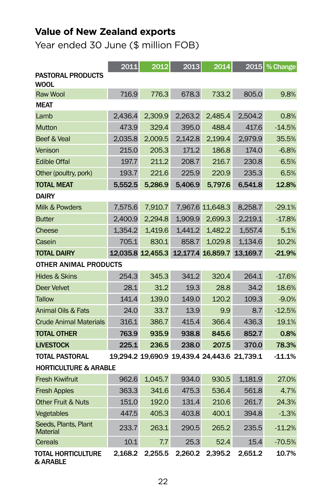# **Value of New Zealand exports**

Year ended 30 June (\$ million FOB)

|                                         | 2011    | 2012    | 2013                                         | 2014             | 2015                                         | % Change |  |  |
|-----------------------------------------|---------|---------|----------------------------------------------|------------------|----------------------------------------------|----------|--|--|
| <b>PASTORAL PRODUCTS</b><br><b>WOOL</b> |         |         |                                              |                  |                                              |          |  |  |
| <b>Raw Wool</b>                         | 716.9   | 776.3   | 678.3                                        | 733.2            | 805.0                                        | 9.8%     |  |  |
| <b>MEAT</b>                             |         |         |                                              |                  |                                              |          |  |  |
| Lamb                                    | 2.436.4 | 2.309.9 | 2.263.2                                      | 2.485.4          | 2.504.2                                      | 0.8%     |  |  |
| Mutton                                  | 473.9   | 329.4   | 395.0                                        | 488.4            | 417.6                                        | $-14.5%$ |  |  |
| Beef & Veal                             | 2,035.8 | 2.009.5 | 2.142.8                                      | 2.199.4          | 2.979.9                                      | 35.5%    |  |  |
| Venison                                 | 215.0   | 205.3   | 171.2                                        | 186.8            | 174.0                                        | $-6.8%$  |  |  |
| <b>Edible Offal</b>                     | 197.7   | 211.2   | 208.7                                        | 216.7            | 230.8                                        | 6.5%     |  |  |
| Other (poultry, pork)                   | 193.7   | 221.6   | 225.9                                        | 220.9            | 235.3                                        | 6.5%     |  |  |
| <b>TOTAL MEAT</b>                       | 5.552.5 | 5.286.9 | 5,406.9                                      | 5.797.6          | 6.541.8                                      | 12.8%    |  |  |
| <b>DAIRY</b>                            |         |         |                                              |                  |                                              |          |  |  |
| Milk & Powders                          | 7.575.6 | 7.910.7 |                                              | 7.967.6 11.648.3 | 8.258.7                                      | $-29.1%$ |  |  |
| <b>Butter</b>                           | 2.400.9 | 2.294.8 | 1,909.9                                      | 2.699.3          | 2.219.1                                      | $-17.8%$ |  |  |
| Cheese                                  | 1.354.2 | 1.419.6 | 1.441.2                                      | 1.482.2          | 1.557.4                                      | 5.1%     |  |  |
| Casein                                  | 705.1   | 830.1   | 858.7                                        | 1,029.8          | 1,134.6                                      | 10.2%    |  |  |
| <b>TOTAL DAIRY</b>                      |         |         |                                              |                  | 12.035.8 12.455.3 12.177.4 16.859.7 13.169.7 | $-21.9%$ |  |  |
| <b>OTHER ANIMAL PRODUCTS</b>            |         |         |                                              |                  |                                              |          |  |  |
| Hides & Skins                           | 254.3   | 345.3   | 341.2                                        | 320.4            | 264.1                                        | $-17.6%$ |  |  |
| Deer Velvet                             | 28.1    | 31.2    | 19.3                                         | 28.8             | 34.2                                         | 18.6%    |  |  |
| Tallow                                  | 141.4   | 139.0   | 149.0                                        | 120.2            | 109.3                                        | $-9.0%$  |  |  |
| Animal Oils & Fats                      | 24.0    | 33.7    | 13.9                                         | 9.9              | 8.7                                          | $-12.5%$ |  |  |
| <b>Crude Animal Materials</b>           | 316.1   | 386.7   | 415.4                                        | 366.4            | 436.3                                        | 19.1%    |  |  |
| <b>TOTAL OTHER</b>                      | 763.9   | 935.9   | 938.8                                        | 845.6            | 852.7                                        | 0.8%     |  |  |
| <b>LIVESTOCK</b>                        | 225.1   | 236.5   | 238.0                                        | 207.5            | 370.0                                        | 78.3%    |  |  |
| <b>TOTAL PASTORAL</b>                   |         |         | 19,294.2 19,690.9 19,439.4 24,443.6 21,739.1 |                  |                                              | $-11.1%$ |  |  |
| <b>HORTICULTURE &amp; ARABLE</b>        |         |         |                                              |                  |                                              |          |  |  |
| <b>Fresh Kiwifruit</b>                  | 962.6   | 1.045.7 | 934.0                                        | 930.5            | 1.181.9                                      | 27.0%    |  |  |
| <b>Fresh Apples</b>                     | 363.3   | 341.6   | 475.3                                        | 536.4            | 561.8                                        | 4.7%     |  |  |
| <b>Other Fruit &amp; Nuts</b>           | 151.0   | 192.0   | 131.4                                        | 210.6            | 261.7                                        | 24.3%    |  |  |
| Vegetables                              | 447.5   | 405.3   | 403.8                                        | 400.1            | 394.8                                        | $-1.3%$  |  |  |
| Seeds, Plants, Plant<br>Material        | 233.7   | 263.1   | 290.5                                        | 265.2            | 235.5                                        | $-11.2%$ |  |  |
| Cereals                                 | 10.1    | 7.7     | 25.3                                         | 52.4             | 15.4                                         | $-70.5%$ |  |  |
| TOTAL HORTICULTURE<br>& ARABLE          | 2.168.2 | 2.255.5 | 2.260.2                                      | 2.395.2          | 2.651.2                                      | 10.7%    |  |  |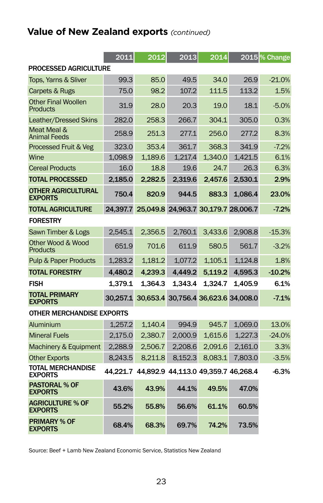# **Value of New Zealand exports** *(continued)*

|                                             | 2011     | 2012                                         | 2013                                | 2014    |         | 2015 <sup>%</sup> Change |  |
|---------------------------------------------|----------|----------------------------------------------|-------------------------------------|---------|---------|--------------------------|--|
| <b>PROCESSED AGRICULTURE</b>                |          |                                              |                                     |         |         |                          |  |
| Tops, Yarns & Sliver                        | 99.3     | 85.0                                         | 49.5                                | 34.0    | 26.9    | $-21.0%$                 |  |
| Carpets & Rugs                              | 75.0     | 98.2                                         | 107.2                               | 111.5   | 113.2   | 1.5%                     |  |
| <b>Other Final Woollen</b><br>Products      | 31.9     | 28.0                                         | 20.3                                | 19.0    | 18.1    | $-5.0%$                  |  |
| Leather/Dressed Skins                       | 282.0    | 258.3                                        | 266.7                               | 304.1   | 305.0   | 0.3%                     |  |
| Meat Meal &<br><b>Animal Feeds</b>          | 258.9    | 251.3                                        | 277.1                               | 256.0   | 277.2   | 8.3%                     |  |
| Processed Fruit & Veg                       | 323.0    | 353.4                                        | 361.7                               | 368.3   | 341.9   | $-7.2%$                  |  |
| Wine                                        | 1.098.9  | 1.189.6                                      | 1.217.4                             | 1.340.0 | 1.421.5 | 6.1%                     |  |
| <b>Cereal Products</b>                      | 16.0     | 18.8                                         | 19.6                                | 24.7    | 26.3    | 6.3%                     |  |
| <b>TOTAL PROCESSED</b>                      | 2.185.0  | 2.282.5                                      | 2.319.6                             | 2.457.6 | 2,530.1 | 2.9%                     |  |
| <b>OTHER AGRICULTURAL</b><br><b>EXPORTS</b> | 750.4    | 820.9                                        | 944.5                               | 883.3   | 1.086.4 | 23.0%                    |  |
| <b>TOTAL AGRICULTURE</b>                    | 24.397.7 | 25.049.8 24.963.7 30.179.7 28.006.7          |                                     |         |         | $-7.2%$                  |  |
| <b>FORESTRY</b>                             |          |                                              |                                     |         |         |                          |  |
| Sawn Timber & Logs                          | 2.545.1  | 2.356.5                                      | 2.760.1                             | 3.433.6 | 2.908.8 | $-15.3%$                 |  |
| Other Wood & Wood<br><b>Products</b>        | 651.9    | 701.6                                        | 611.9                               | 580.5   | 561.7   | $-3.2%$                  |  |
| <b>Pulp &amp; Paper Products</b>            | 1.283.2  | 1.181.2                                      | 1.077.2                             | 1.105.1 | 1.124.8 | 1.8%                     |  |
| <b>TOTAL FORESTRY</b>                       | 4.480.2  | 4.239.3                                      | 4.449.2                             | 5.119.2 | 4.595.3 | $-10.2%$                 |  |
| <b>FISH</b>                                 | 1.379.1  | 1.364.3                                      | 1.343.4                             | 1.324.7 | 1.405.9 | 6.1%                     |  |
| <b>TOTAL PRIMARY</b><br><b>EXPORTS</b>      | 30.257.1 |                                              | 30,653.4 30,756.4 36,623.6 34,008.0 |         |         | $-7.1%$                  |  |
| <b>OTHER MERCHANDISE EXPORTS</b>            |          |                                              |                                     |         |         |                          |  |
| Aluminium                                   | 1.257.2  | 1.140.4                                      | 994.9                               | 945.7   | 1.069.0 | 13.0%                    |  |
| <b>Mineral Fuels</b>                        | 2.175.0  | 2.380.7                                      | 2.000.9                             | 1.615.6 | 1.227.3 | $-24.0%$                 |  |
| Machinery & Equipment                       | 2.288.9  | 2,506.7                                      | 2.208.6                             | 2.091.6 | 2,161.0 | 3.3%                     |  |
| <b>Other Exports</b>                        | 8.243.5  | 8.211.8                                      | 8.152.3                             | 8.083.1 | 7.803.0 | $-3.5%$                  |  |
| <b>TOTAL MERCHANDISE</b><br><b>EXPORTS</b>  |          | 44.221.7 44.892.9 44.113.0 49.359.7 46.268.4 |                                     |         |         | $-6.3%$                  |  |
| <b>PASTORAL % OF</b><br><b>EXPORTS</b>      | 43.6%    | 43.9%                                        | 44.1%                               | 49.5%   | 47.0%   |                          |  |
| <b>AGRICULTURE % OF</b><br><b>EXPORTS</b>   | 55.2%    | 55.8%                                        | 56.6%                               | 61.1%   | 60.5%   |                          |  |
| <b>PRIMARY % OF</b><br><b>EXPORTS</b>       | 68.4%    | 68.3%                                        | 69.7%                               | 74.2%   | 73.5%   |                          |  |

Source: Beef + Lamb New Zealand Economic Service, Statistics New Zealand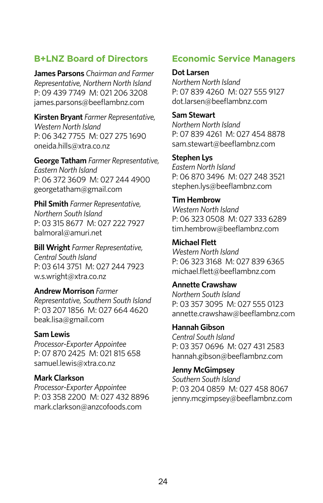#### **B+LNZ Board of Directors**

**James Parsons** *Chairman and Farmer Representative, Northern North Island*  P: 09 439 7749 M: 021 206 3208 james.parsons@beeflambnz.com

**Kirsten Bryant** *Farmer Representative, Western North Island*  P: 06 342 7755 M: 027 275 1690 oneida.hills@xtra.co.nz

**George Tatham** *Farmer Representative, Eastern North Island* P: 06 372 3609 M: 027 244 4900 georgetatham@gmail.com

**Phil Smith** *Farmer Representative, Northern South Island* P: 03 315 8677 M: 027 222 7927 balmoral@amuri.net

**Bill Wright** *Farmer Representative, Central South Island* P: 03 614 3751 M: 027 244 7923 w.s.wright@xtra.co.nz

**Andrew Morrison** *Farmer Representative, Southern South Island* P: 03 207 1856 M: 027 664 4620 beak.lisa@gmail.com

#### **Sam Lewis**

*Processor-Exporter Appointee* P: 07 870 2425 M: 021 815 658 samuel.lewis@xtra.co.nz

#### **Mark Clarkson**

*Processor-Exporter Appointee* P: 03 358 2200 M: 027 432 8896 mark.clarkson@anzcofoods.com

#### **Economic Service Managers**

**Dot Larsen**

*Northern North Island* P: 07 839 4260 M: 027 555 9127 dot.larsen@beeflambnz.com

**Sam Stewart** *Northern North Island* P: 07 839 4261 M: 027 454 8878 sam.stewart@beeflambnz.com

**Stephen Lys** *Eastern North Island* P: 06 870 3496 M: 027 248 3521 stephen.lys@beeflambnz.com

**Tim Hembrow** *Western North Island* P: 06 323 0508 M: 027 333 6289 tim.hembrow@beeflambnz.com

**Michael Flett** *Western North Island* P: 06 323 3168 M: 027 839 6365 michael.flett@beeflambnz.com

**Annette Crawshaw**

*Northern South Island*  P: 03 357 3095 M: 027 555 0123 annette.crawshaw@beeflambnz.com

**Hannah Gibson** *Central South Island* P: 03 357 0696 M: 027 431 2583 hannah.gibson@beeflambnz.com

**Jenny McGimpsey**  *Southern South Island* P: 03 204 0859 M: 027 458 8067 jenny.mcgimpsey@beeflambnz.com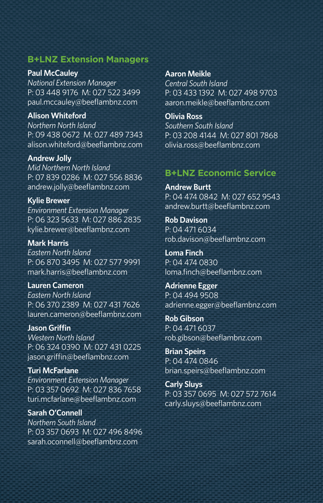#### **B+LNZ Extension Managers**

**Paul McCauley** *National Extension Manager* P: 03 448 9176 M: 027 522 3499 paul.mccauley@beeflambnz.com

**Alison Whiteford** *Northern North Island* P: 09 438 0672 M: 027 489 7343 alison.whiteford@beeflambnz.com

**Andrew Jolly** *Mid Northern North Island* P: 07 839 0286 M: 027 556 8836 andrew.jolly@beeflambnz.com

**Kylie Brewer** *Environment Extension Manager* P: 06 323 5633 M: 027 886 2835 kylie.brewer@beeflambnz.com

**Mark Harris** *Eastern North Island* P: 06 870 3495 M: 027 577 9991 mark.harris@beeflambnz.com

**Lauren Cameron** *Eastern North Island* P: 06 370 2389 M: 027 431 7626 lauren.cameron@beeflambnz.com

**Jason Griffin** *Western North Island* P: 06 324 0390 M: 027 431 0225 jason.griffin@beeflambnz.com

**Turi McFarlane** *Environment Extension Manager* P: 03 357 0692 M: 027 836 7658 turi.mcfarlane@beeflambnz.com

**Sarah O'Connell** *Northern South Island* P: 03 357 0693 M: 027 496 8496 sarah.oconnell@beeflambnz.com

**Aaron Meikle** *Central South Island*  P: 03 433 1392 M: 027 498 9703 aaron.meikle@beeflambnz.com

**Olivia Ross** *Southern South Island* P: 03 208 4144 M: 027 801 7868 olivia.ross@beeflambnz.com

#### **B+LNZ Economic Service**

**Andrew Burtt** P: 04 474 0842 M: 027 652 9543 andrew.burtt@beeflambnz.com

**Rob Davison** P: 04 471 6034 rob.davison@beeflambnz.com

**Loma Finch** P: 04 474 0830 loma.finch@beeflambnz.com

**Adrienne Egger**  P: 04 494 9508 adrienne.egger@beeflambnz.com

**Rob Gibson** P: 04 471 6037 rob.gibson@beeflambnz.com

**Brian Speirs** P: 04 474 0846 brian.speirs@beeflambnz.com

**Carly Sluys** P: 03 357 0695 M: 027 572 7614 carly.sluys@beeflambnz.com